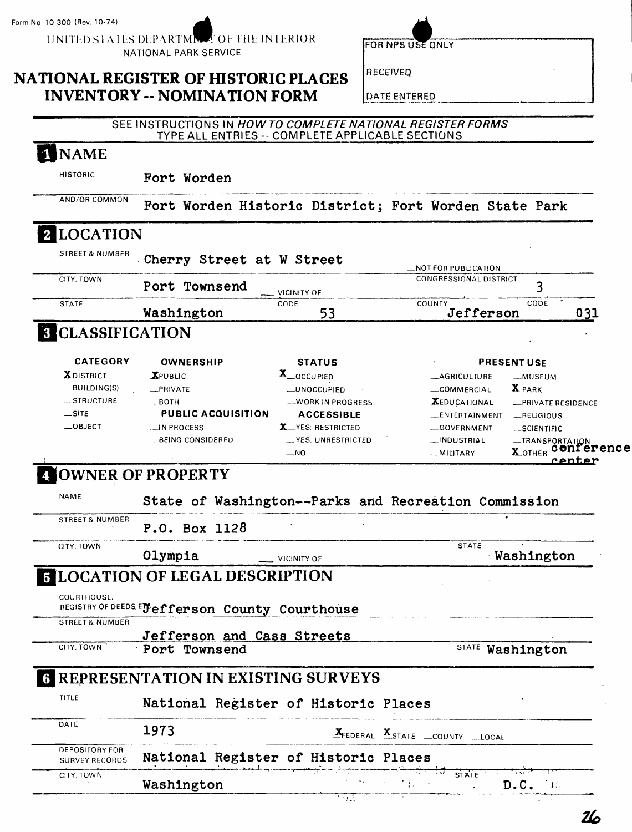UNITED STATES DEPARTMENT OF THE INTERIOR NATIONAL PARK SERVICE

FOR NPS USE ONLY

RECEIVED

## **NATIONAL REGISTER OF HISTORIC PLACES INVENTORY -- NOMINATION FORM**

DATE ENTERED

#### SEE INSTRUCTIONS IN HOW TO COMPLETE NATIONAL REGISTER FORMS TYPE ALL ENTRIES -- COMPLETE APPLICABLE SECTIONS

# 1 NAME

HISTORIC **Fort Worden** 

AND/OR COMMON Fort Worden Historic District; Fort Worden State Park

## **2** LOCATION

| CITY, TOWN                                                            |                                                 |                            | CONGRESSIONAL DISTRICT                               |                                        |
|-----------------------------------------------------------------------|-------------------------------------------------|----------------------------|------------------------------------------------------|----------------------------------------|
|                                                                       | Port Townsend                                   | VICINITY OF                |                                                      | 3                                      |
| <b>STATE</b>                                                          | Washington                                      | CODE<br>53                 | COUNTY<br>Jefferson                                  | CODE<br>031                            |
| <b>8 CLASSIFICATION</b>                                               |                                                 |                            |                                                      |                                        |
| <b>CATEGORY</b>                                                       | <b>OWNERSHIP</b>                                | <b>STATUS</b>              |                                                      | <b>PRESENT USE</b>                     |
| <b>XDISTRICT</b>                                                      | $X$ PUBLIC                                      | X_OCCUPIED                 | _AGRICULTURE                                         | -MUSEUM                                |
| _BUILDING(S)                                                          | _PRIVATE                                        | _UNOCCUPIED                | _COMMERCIAL                                          | <b>X</b> PARK                          |
| STRUCTURE                                                             | —ВОТН                                           | __WORK IN PROGRESS         | <b>XEDUCATIONAL</b>                                  | -PRIVATE RESIDENCE                     |
| $\overline{\phantom{a}}$ SITE                                         | PUBLIC ACQUISITION                              | <b>ACCESSIBLE</b>          | _ENTERTAINMENT                                       | $-$ RELIGIOUS                          |
| $\equiv$ OBJECT                                                       | M PROCESS                                       | <b>X</b> __YES: RESTRICTED | GOVERNMENT                                           | SCIENTIFIC                             |
|                                                                       | ___BEING CONSIDERED                             | - YES. UNRESTRICTED        | _INDUSTRIAL                                          | -TRANSPORTATION                        |
|                                                                       |                                                 | $-NO$                      | MILITARY                                             | conference<br><b>X_OTHER</b><br>rantan |
| <b>STREET &amp; NUMBER</b>                                            |                                                 |                            | State of Washington--Parks and Recreation Commission |                                        |
|                                                                       | P.O. Box 1128<br>Olympia                        | VICINITY OF                | <b>STATE</b>                                         | Washington                             |
|                                                                       | <b>ELOCATION OF LEGAL DESCRIPTION</b>           |                            |                                                      |                                        |
|                                                                       | REGISTRY OF DEEDS, EJefferson County Courthouse |                            |                                                      |                                        |
|                                                                       |                                                 |                            |                                                      |                                        |
|                                                                       | Jefferson and Cass Streets<br>Port Townsend     |                            |                                                      | STATE Washington                       |
| CITY, TOWN<br>COURTHOUSE.<br><b>STREET &amp; NUMBER</b><br>CITY, TOWN | <b>REPRESENTATION IN EXISTING SURVEYS</b>       |                            |                                                      |                                        |
|                                                                       | National Register of Historic Places            |                            |                                                      |                                        |
|                                                                       | 1973                                            |                            | XFEDERAL XSTATE _COUNTY _LOCAL                       |                                        |
| TITLE<br>DATE<br><b>DEPOSITORY FOR</b><br><b>SURVEY RECORDS</b>       | National Register of Historic Places            |                            |                                                      |                                        |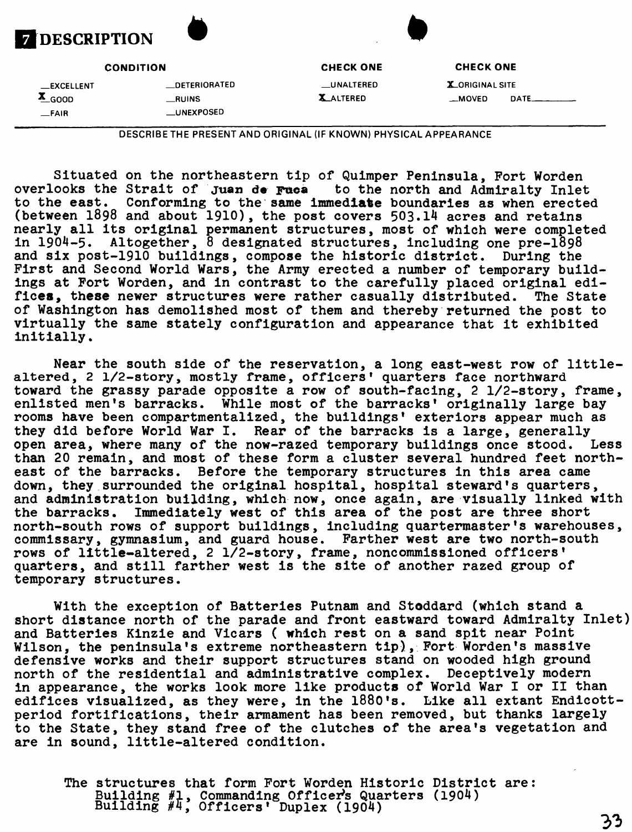

**—EXCELLENT —DETERIORATED —UNALTERED X-ORIGINAL SITE \_FAIR —UNEXPOSED**

**CONDITION CHECK ONE CHECK ONE**

**X\_GOOD —RUINS X\_ALTERED \_MOVED DATE\_\_\_\_\_\_\_**

DESCRIBETHE PRESENT AND ORIGINAL (IF KNOWN) PHYSICAL APPEARANCE

Situated on the northeastern tip of Quimper Peninsula, Fort Worden overlooks the Strait of juan de Faoa to the north and Admiralty Inlet to the east. Conforming to the same immediate boundaries as when erected (between 1898 and about 1910), the post covers 503.14 acres and retains nearly all its original permanent structures, most of which were completed in 1904-5. Altogether, 8 designated structures, including one pre-1898 and six post-1910 buildings, compose the historic district. During the First and Second World Wars, the Army erected a number of temporary buildings at Fort Worden, and in contrast to the carefully placed original edifices, these newer structures were rather casually distributed. The State of Washington has demolished most of them and thereby returned the post to virtually the same stately configuration and appearance that it exhibited initially.

Near the south side of the reservation, a long east-west row of littlealtered, 2 1/2-story, mostly frame, officers' quarters face northward toward the grassy parade opposite a row of south-facing, 2 1/2-story, frame, enlisted men's barracks. While most of the barracks' originally large bay rooms have been compartmentalized, the buildings' exteriors appear much as they did before World War I. Rear of the barracks is a large, generally open area, where many of the now-razed temporary buildings once stood. Less than 20 remain, and most of these form a cluster several hundred feet northeast of the barracks. Before the temporary structures in this area came down, they surrounded the original hospital, hospital steward's quarters, and administration building, which now, once again, are visually linked with the barracks. Immediately west of this area of the post are three short north-south rows of support buildings, including quartermaster's warehouses, commissary, gymnasium, and guard house. Farther west are two north-south rows of little-altered, 2 1/2-story, frame, noncommissioned officers' quarters, and still farther west is the site of another razed group of temporary structures.

With the exception of Batteries Putnam and Stoddard (which stand a short distance north of the parade and front eastward toward Admiralty Inlet) and Batteries Kinzie and Vicars ( which rest on a sand spit near Point Wilson, the peninsula's extreme northeastern tip), Fort Worden's massive defensive works and their support structures stand on wooded high ground north of the residential and administrative complex. Deceptively modern in appearance, the works look more like products of World War I or II than edifices visualized, as they were, in the 1880's. Like all extant Endicottperiod fortifications, their armament has been removed, but thanks largely to the State, they stand free of the clutches of the area's vegetation and are in sound, little-altered condition.

The structures that form Fort Worden Historic District are: Building #1, Commanding Officer's Quarters Building #4, Officers' Duplex (1904)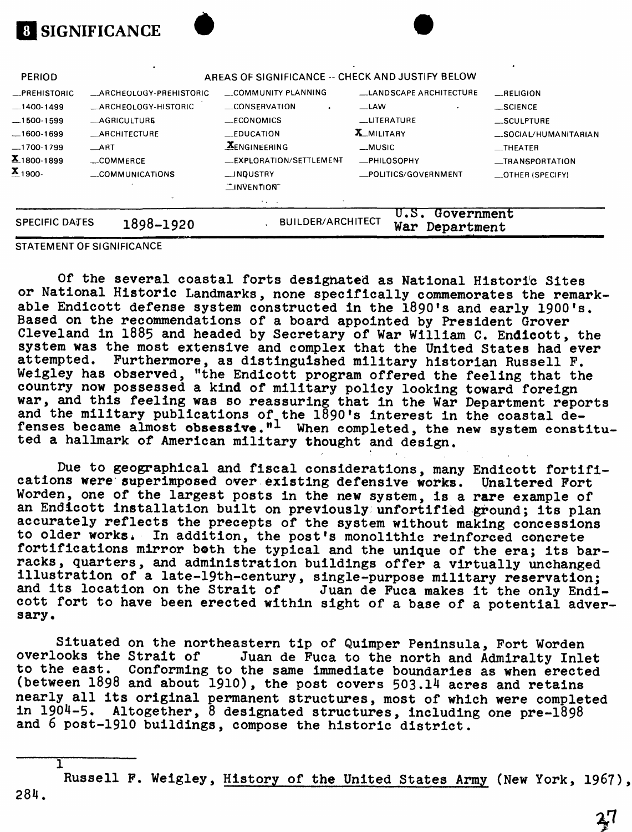|                                 | <b>8 SIGNIFICANCE</b>   |                                                               |                                      |                      |  |
|---------------------------------|-------------------------|---------------------------------------------------------------|--------------------------------------|----------------------|--|
| <b>PERIOD</b>                   |                         | AREAS OF SIGNIFICANCE -- CHECK AND JUSTIFY BELOW              |                                      |                      |  |
| _PREHISTORIC                    | _ARCHEOLOGY-PREHISTORIC | COMMUNITY PLANNING                                            | LANDSCAPE ARCHITECTURE               | RELIGION             |  |
| $-1400-1499$                    | ARCHEOLOGY-HISTORIC     | _CONSERVATION                                                 | $-LAW$                               | $-SCIENCE$           |  |
| -1500-1599                      | <b>_AGRICULTURE</b>     | $\_ECONOMICS$                                                 | __LITERATURE                         | _SCULPTURE           |  |
| 1600-1699                       | _ARCHITECTURE           | $\_$ EDUCATION                                                | <b>X_MILITARY</b>                    | SOCIAL/HUMANITARIAN  |  |
| _1700-1799                      | $\equiv$ ART            | <b>XENGINEERING</b>                                           | $-MUSIC$                             | $-$ THEATER          |  |
| $\mathbf{X}_{.1800 \cdot 1899}$ | _COMMERCE               | __EXPLORATION/SETTLEMENT                                      | -PHILOSOPHY                          | __TRANSPORTATION     |  |
| $\mathbf{x}_{1900}$ .           | __COMMUNICATIONS        | __INDUSTRY<br>_POLITICS/GOVERNMENT<br>$\mathbb{I}$ INVENTION" |                                      | $\_$ OTHER (SPECIFY) |  |
|                                 |                         | <b>Factor</b>                                                 |                                      |                      |  |
| <b>SPECIFIC DATES</b>           | 1898-1920               | <b>BUILDER/ARCHITECT</b>                                      | U.S. Government<br>War<br>Department |                      |  |

#### STATEMENT OF SIGNIFICANCE

Т

Of the several coastal forts designated as National Historic Sites or National Historic Landmarks, none specifically commemorates the remarkable Endicott defense system constructed in the 1890's and early 1900's. Based on the recommendations of a board appointed by President Grover Cleveland in 1885 and headed by Secretary of War William C. Endicott, the system was the most extensive and complex that the United States had ever<br>attempted. Furthermore, as distinguished military historian Bussell F. Furthermore, as distinguished military historian Russell F. Weigley has observed, "the Endicott program offered the feeling that the country now possessed a kind of military policy looking toward foreign war, and this feeling was so reassuring that in the War Department reports and the military publications of the 1890's interest in the coastal defenses became almost obsessive." $^{\text{1}}$  When completed, the new system constituted a hallmark of American military thought and design.

Due to geographical and fiscal considerations, many Endicott fortifications were superimposed over existing defensive works. Unaltered Fort Worden, one of the largest posts in the new system, is a rare example of an Endicott installation built on previously unfortified ground; its plan accurately reflects the precepts of the system without making concessions to older works. In addition, the post's monolithic reinforced concrete fortifications mirror both the typical and the unique of the era; its barracks, quarters, and administration buildings offer a virtually unchanged illustration of a late-19th-century, single-purpose military reservation;<br>and its location on the Strait of Juan de Fuca makes it the only Endi Juan de Fuca makes it the only Endicott fort to have been erected within sight of a base of a potential adversary.

Situated on the northeastern tip of Quimper Peninsula, Fort Worden overlooks the Strait of Juan de Fuca to the north and Admiralty Inlet to the east. Conforming to the same immediate boundaries as when erected (between 1898 and about 1910), the post covers 503.14 acres and retains nearly all its original permanent structures, most of which were completed in 1904-5. Altogether, 8 designated structures, including one pre-1898 and 6 post-1910 buildings, compose the historic district.

284. Russell F. Weigley, History of the United States Army (New York, 1967),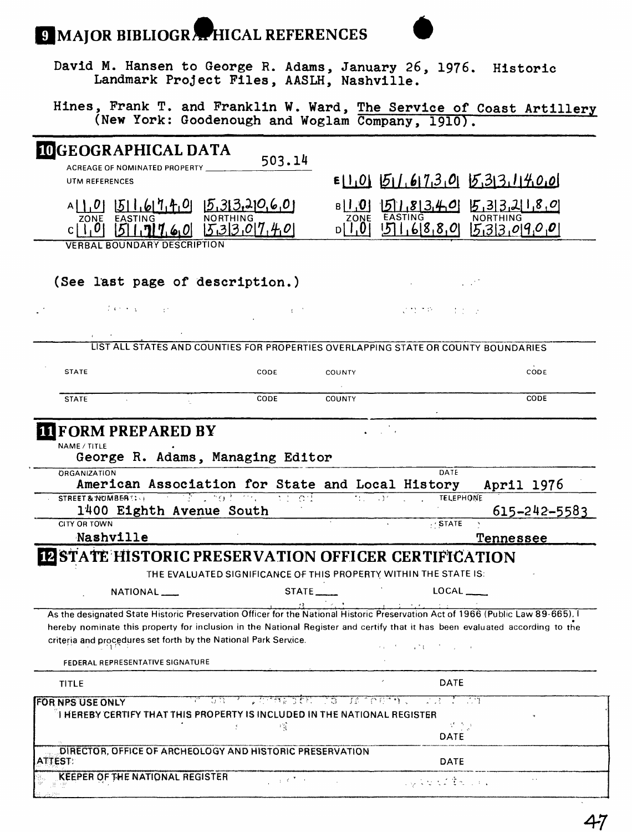## **9 MAJOR BIBLIOGRAPHICAL REFERENCES**



David M. Hansen to George R. Adams, January 26, 1976. Historic Landmark Project Piles, AASLH, Nashville.

Hines, Frank T. and Franklin W. Ward, <u>The Service of</u> Coast Artillery (New York: Goodenough and Woglam Company, 1910).

| <b>IDGEOGRAPHICAL DATA</b>                                                                                                      | 503.14                                                            |                                                                  |                                                                                    |
|---------------------------------------------------------------------------------------------------------------------------------|-------------------------------------------------------------------|------------------------------------------------------------------|------------------------------------------------------------------------------------|
| ACREAGE OF NOMINATED PROPERTY _                                                                                                 |                                                                   |                                                                  |                                                                                    |
| UTM REFERENCES                                                                                                                  |                                                                   |                                                                  | $E[1,0]$ $51.61730$ $533.1400$                                                     |
| $[511, 617, 40$ $[5, 313, 310, 60]$                                                                                             |                                                                   | $ 0,1 $ a                                                        | 5183405532180                                                                      |
| ZONE EASTING                                                                                                                    | <b>NORTHING</b>                                                   | EASTING<br>ZONE<br>10, 1 Ja                                      | <b>NORTHING</b>                                                                    |
| $51.717.60$ $533.07.40$<br><b>VERBAL BOUNDARY DESCRIPTION</b>                                                                   |                                                                   |                                                                  | $516880$ $533090$                                                                  |
|                                                                                                                                 |                                                                   |                                                                  |                                                                                    |
| (See last page of description.)                                                                                                 |                                                                   |                                                                  |                                                                                    |
| 医单元性 医小头 人名法                                                                                                                    | $\mathbf{f} \in \mathbb{R}^N$                                     |                                                                  | マセプチ しょうしょ                                                                         |
|                                                                                                                                 |                                                                   |                                                                  |                                                                                    |
|                                                                                                                                 |                                                                   |                                                                  | LIST ALL STATES AND COUNTIES FOR PROPERTIES OVERLAPPING STATE OR COUNTY BOUNDARIES |
| <b>STATE</b>                                                                                                                    | CODE                                                              | COUNTY                                                           | CODE                                                                               |
| <b>STATE</b>                                                                                                                    | CODE                                                              | <b>COUNTY</b>                                                    | CODE                                                                               |
|                                                                                                                                 |                                                                   |                                                                  |                                                                                    |
| NAME / TITLE<br>George R. Adams, Managing Editor<br><b>ORGANIZATION</b>                                                         |                                                                   |                                                                  | DATE                                                                               |
| American Association for State and Local History                                                                                |                                                                   |                                                                  | April 1976                                                                         |
| STREET & NUMBER : : +                                                                                                           | <u>në unaforma me ad</u>                                          | 71.732                                                           | <b>TELEPHONE</b>                                                                   |
| 1400 Eighth Avenue South<br><b>CITY OR TOWN</b>                                                                                 |                                                                   |                                                                  | 615-242-5583<br>$+$ STATE                                                          |
| Nashville                                                                                                                       |                                                                   |                                                                  | <b>Tennessee</b>                                                                   |
| <b>I2 STATE HISTORIC PRESERVATION OFFICER CERTIFICATION</b>                                                                     |                                                                   |                                                                  |                                                                                    |
|                                                                                                                                 |                                                                   | THE EVALUATED SIGNIFICANCE OF THIS PROPERTY WITHIN THE STATE IS: |                                                                                    |
| NATIONAL ___                                                                                                                    | STATE                                                             |                                                                  | LOCAL                                                                              |
| As the designated State Historic Preservation Officer for the National Historic Preservation Act of 1966 (Public Law 89-665). I |                                                                   |                                                                  |                                                                                    |
| hereby nominate this property for inclusion in the National Register and certify that it has been evaluated according to the    |                                                                   |                                                                  |                                                                                    |
| criteria and procedures set forth by the National Park Service.                                                                 |                                                                   |                                                                  | ちゅうすう しゅさむ こうだい ふくしょ                                                               |
| FEDERAL REPRESENTATIVE SIGNATURE                                                                                                |                                                                   |                                                                  |                                                                                    |
| TITLE                                                                                                                           |                                                                   |                                                                  | <b>DATE</b>                                                                        |
| FOR NPS USE ONLY                                                                                                                | أأفعال والمائل فاستقل والمستوكل والأمان والمستقل المستور والسامات |                                                                  |                                                                                    |
| I HEREBY CERTIFY THAT THIS PROPERTY IS INCLUDED IN THE NATIONAL REGISTER                                                        |                                                                   |                                                                  |                                                                                    |
|                                                                                                                                 | 大 (<br>÷                                                          |                                                                  | $\mathcal{F} \subset \mathcal{F}$<br>DATE                                          |
| DIRECTOR, OFFICE OF ARCHEOLOGY AND HISTORIC PRESERVATION<br><b>ATTEST:</b>                                                      |                                                                   |                                                                  | <b>DATE</b>                                                                        |
| KEEPER OF THE NATIONAL REGISTER                                                                                                 |                                                                   |                                                                  |                                                                                    |
|                                                                                                                                 | $1 - 1 - 8 = 1 - 1$                                               |                                                                  | l gale est frances.                                                                |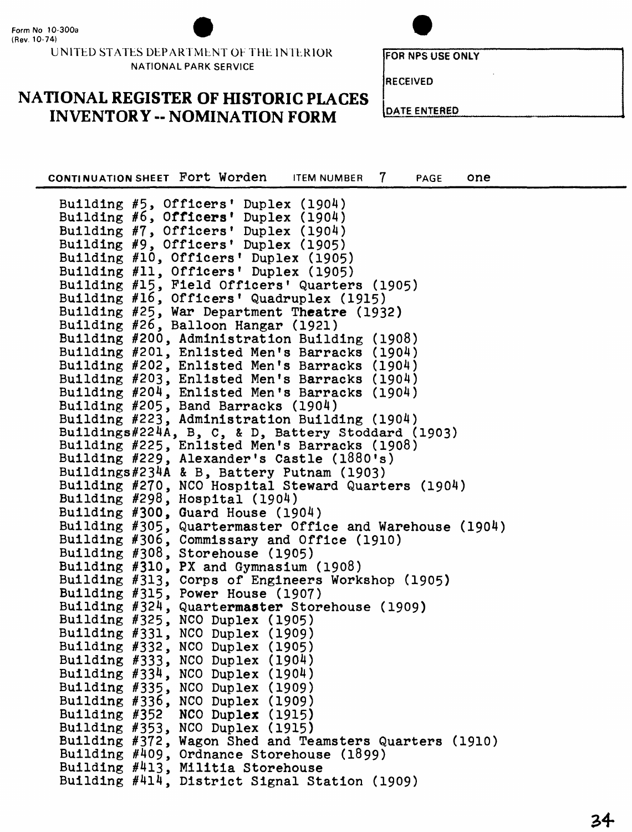

UNITED STATES DEPARTMENT OE THE INTERIOR NATIONAL PARK SERVICE

**FORNPSUSEONIY** 

**RECEIVED**

## **NATIONAL REGISTER OF HISTORIC PLACES INVENTORY -- NOMINATION FORM**

**DATE ENTERED**

**CONTINUATION SHEET FOPT WORDER ITEM NUMBER 7 PAGE ONE** Building #10, Officers 1 Duplex (1905) Building #11, Officers' Duplex (1905) Building #15, Field Officers' Quarters (1905) Building #16 Officers 1 Quadruplex (1915) Building #5, Officers' Duplex (1904) Building  $#6$ , Officers' Duplex (1904) Building #7, Officers' Duplex (1904) Building #9, Officers' Duplex (1905) Building #25, War Department Theatre (1932) Building #26, Balloon Hangar (1921) Building #200, Administration Building (1908) Building #201, Enlisted Men's Barracks (1904) Building #202, Enlisted Men's Barracks (1904) Building #203, Enlisted Men's Barracks (1904) Building #204, Enlisted Men's Barracks (1904) Building #205, Band Barracks (1904) Building #223, Administration Building (1904) Buildings#224A, B, C, & D, Battery Stoddard (1903) Building #225, Enlisted Men's Barracks (1908) Building #229, Alexander's Castle (l880's) Buildings#234A & B, Battery Putnam (1903) Building #270, NCO Hospital Steward Quarters (1904) Building #298, Hospital (1904) Building #300, Guard House (1904) Building #305, Quartermaster Office and Warehouse (1904) Building #306, Commissary and Office (1910) Building #308, Storehouse (1905) Building #310, PX and Gymnasium (1908) Building #313, Corps of Engineers Workshop (1905) Building #315, Power House (1907) Building #324, Quartermaster Storehouse (1909) Building #325, NCO Duplex (1905) Building #331, NCO Duplex (1909) Building #332, NCO Duplex (1905) Building #333, NCO Duplex (1904) Building #334, NCO Duplex (1904) Building #335, NCO Duplex (1909) Building #336, NCO Duplex (1909) Building #352 NCO Duplex (1915) Building #353, NCO Duplex (1915) Building #372, Wagon Shed and Teamsters Quarters (1910) Building #409, Ordnance Storehouse (1899) Building #413, Militia Storehouse Building #414, District Signal Station (1909)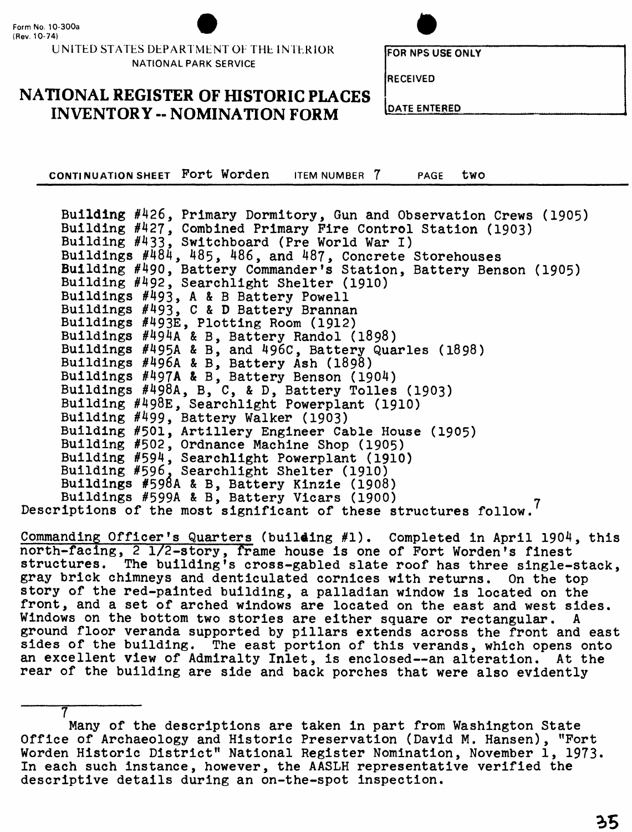7

#### **UNITED STATES DEPARTMENT OF THE INTERIOR NATIONAL PARK SERVICE**



**FOR NFS USE ONLY** 

**RECEIVED**

#### **NATIONAL REGISTER OF HISTORIC PLACES INVENTORY -- NOMINATION FORM**

**DATE ENTERED**

**CONTINUATION SHEET Port Worden** ITEM NUMBER 7 PAGE tWO

Building #426, Primary Dormitory, Gun and Observation Crews (1905) Building #427, Combined Primary Fire Control Station (1903) Building #433, Switchboard (Pre World War I) Buildings #484, 485, 486, and 487, Concrete Storehouses Building #490, Battery Commander's Station, Battery Benson (1905) Building #492, Searchlight Shelter (1910) Buildings #493, A & B Battery Powell Buildings #493, C & D Battery Brannan Buildings #493E, Plotting Room (1912) Buildings #494A & B, Battery Randol (1898) Buildings #495A & B, and 496C, Battery Quarles (1898) Buildings #496A & B, Battery Ash (1898) Buildings #497A & B, Battery Benson (1904) Buildings #498A, B, C, & D, Battery Tolles (1903) Building #498E, Searchlight Powerplant (1910) Building #499, Battery Walker (1903) Building #501, Artillery Engineer Cable House (1905) Building #502, Ordnance Machine Shop (1905) Building #594, Searchlight Powerplant (1910) Building #596. Searchlight Shelter (1910) Buildings #598A & B, Battery Kinzie (1908) Buildings #599A & B, Battery Vicars (1900) Descriptions of the most significant of these structures follow.<sup>7</sup>

Commanding Officer's Quarters (building #1). Completed in April 1904, this north-facing, 2 1/2-story, frame house is one of Fort Worden's finest structures. The building's cross-gabled slate roof has three single-stack, gray brick chimneys and denticulated cornices with returns. On the top story of the red-painted building, a palladian window is located on the front, and a set of arched windows are located on the east and west sides. Windows on the bottom two stories are either square or rectangular. A ground floor veranda supported by pillars extends across the front and east sides of the building. The east portion of this verands, which opens onto an excellent view of Admiralty Inlet, is enclosed--an alteration. At the rear of the building are side and back porches that were also evidently

Many of the descriptions are taken in part from Washington State Office of Archaeology and Historic Preservation (David M. Hansen), "Fort Worden Historic District" National Register Nomination, November 1, 1973. In each such instance, however, the AASLH representative verified the descriptive details during an on-the-spot inspection.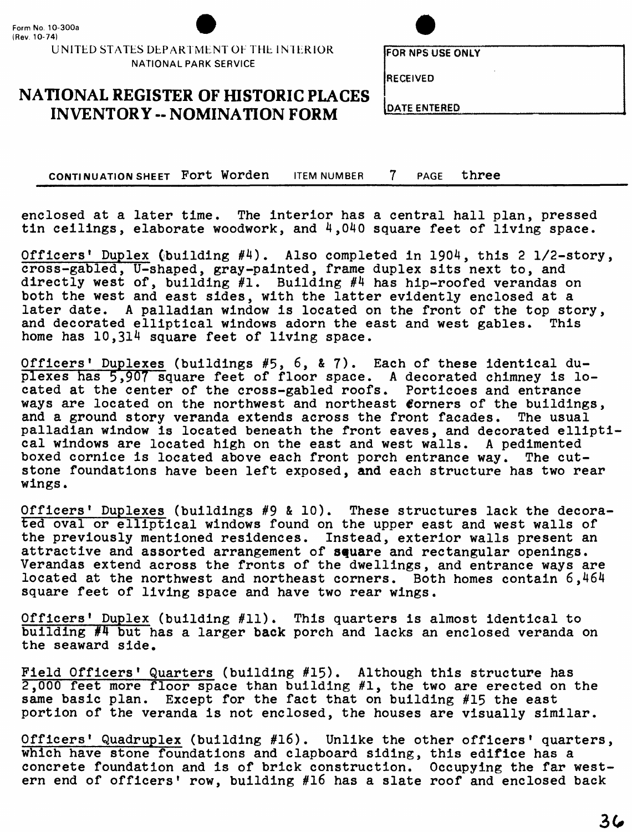UNITED STATES DEPARTMENT OF THE INTERIOR **NATIONAL PARK SERVICE**



**FOR NPS USE ONLY** 

**RECEIVED**

**NATIONAL REGISTER OF HISTORIC PLACES INVENTORY -- NOMINATION FORM DATE ENTERED** 

**CONTINUATION SHEET Fort Worden** ITEM NUMBER 7 PAGE **three**

enclosed at a later time. The interior has a central hall plan, pressed tin ceilings, elaborate woodwork, and  $4,040$  square feet of living space.

Officers' Duplex (building #4). Also completed in 1904, this 2 1/2-story, cross-gabled, U-shaped, gray-painted, frame duplex sits next to, and directly west of, building #1. Building #4 has hip-roofed verandas on both the west and east sides, with the latter evidently enclosed at a later date. A palladian window is located on the front of the top story,<br>and decorated elliptical windows adorn the east and west gables. This and decorated elliptical windows adorn the east and west gables. home has 10,314 square feet of living space.

Officers' Duplexes (buildings #5, 6, & 7). Each of these identical duplexes has 5,907 square feet of floor space. A decorated chimney is located at the center of the cross-gabled roofs. Porticoes and entrance ways are located on the northwest and northeast corners of the buildings, and a ground story veranda extends across the front facades. The usual palladian window is located beneath the front eaves, and decorated ellipti cal windows are located high on the east and west walls. A pedimented boxed cornice is located above each front porch entrance way. The cutstone foundations have been left exposed, and each structure has two rear wings.

Officers' Duplexes (buildings #9 & 10). These structures lack the decorated oval or elliptical windows found on the upper east and west walls of the previously mentioned residences. Instead, exterior walls present an attractive and assorted arrangement of square and rectangular openings. Verandas extend across the fronts of the dwellings, and entrance ways are located at the northwest and northeast corners. Both homes contain 6,464 square feet of living space and have two rear wings.

Officers' Duplex (building #11). This quarters is almost identical to building #4 but has a larger back porch and lacks an enclosed veranda on the seaward side.

Field Officers' Quarters (building #15). Although this structure has 2,000 feet more floor space than building #1, the two are erected on the same basic plan. Except for the fact that on building #15 the east portion of the veranda is not enclosed, the houses are visually similar.

Officers' Quadruplex (building #16). Unlike the other officers' quarters, which have stone foundations and clapboard siding, this edifice has a concrete foundation and is of brick construction. Occupying the far western end of officers' row, building #16 has a slate roof and enclosed back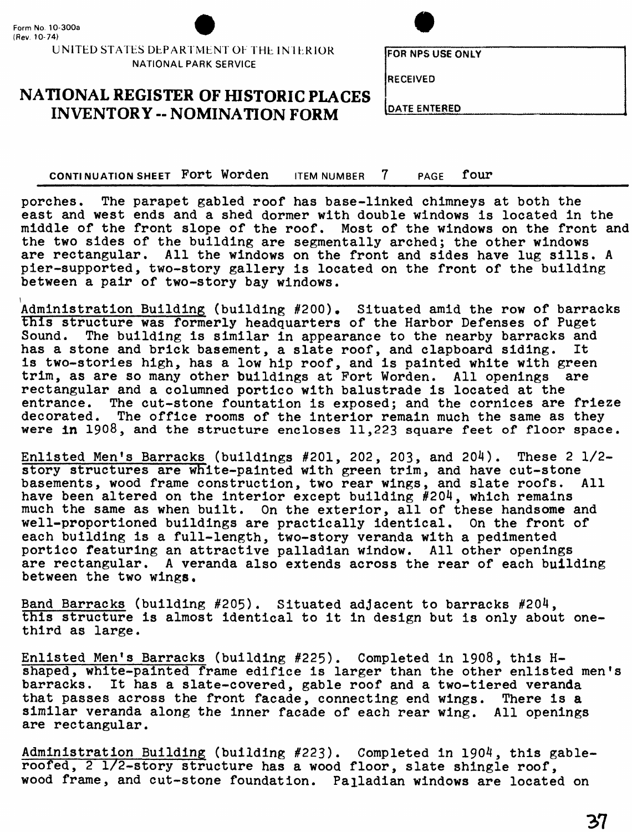

UNITED STATES DEPARTMENT OF THE INTERIOR **NATIONAL PARK SERVICE**

**FORNPSUSEONiY**

**RECEIVED**

#### **NATIONAL REGISTER OF HISTORIC PLACES INVENTORY -- NOMINATION FORM**

**DATE ENTERED**

CONTINUATION SHEET Fort Worden ITEM NUMBER 7 PAGE four

porches. The parapet gabled roof has base-linked chimneys at both the east and west ends and a shed dormer with double windows is located in the middle of the front slope of the roof. Most of the windows on the front and the two sides of the building are segmentally arched; the other windows are rectangular. All the windows on the front and sides have lug sills. A pier-supported, two-story gallery is located on the front of the building between a pair of two-story bay windows.

Administration Building (building #200). Situated amid the row of barracks this structure was formerly headquarters of the Harbor Defenses of Puget Sound. The building is similar in appearance to the nearby barracks and has a stone and brick basement, a slate roof, and clapboard siding. It is two-stories high, has a low hip roof, and is painted white with green trim, as are so many other buildings at Fort Worden. All openings are rectangular and a columned portico with balustrade is located at the entrance. The cut-stone fountation is exposed; and the cornices are frieze decorated. The office rooms of the interior remain much the same as they were in 1908, and the structure encloses 11,223 square feet of floor space.

Enlisted Men's Barracks (buildings #201, 202, 203, and 204). These 2 1/2 story structures are white-painted with green trim, and have cut-stone<br>basements, wood frame construction, two rear wings, and slate roofs. All basements, wood frame construction, two rear wings, and slate roofs. have been altered on the interior except building #204, which remains much the same as when built. On the exterior, all of these handsome and well-proportioned buildings are practically identical. On the front of each building is a full-length, two-story veranda with a pedimented portico featuring an attractive palladian window. All other openings are rectangular. A veranda also extends across the rear of each building between the two wings.

Band Barracks (building #205). Situated adjacent to barracks #204, this structure is almost identical to it in design but is only about onethird as large.

Enlisted Men's Barracks (building #225). Completed in 1908, this Hshaped, white-painted frame edifice is larger than the other enlisted men's barracks. It has a slate-covered, gable roof and a two-tiered veranda that passes across the front facade, connecting end wings. There is a similar veranda along the inner facade of each rear wing. All openings are rectangular.

Administration Building (building #223). Completed in 1904, this gableroofed, 2 1/2-story structure has a wood floor, slate shingle roof, wood frame, and cut-stone foundation. Pajladian windows are located on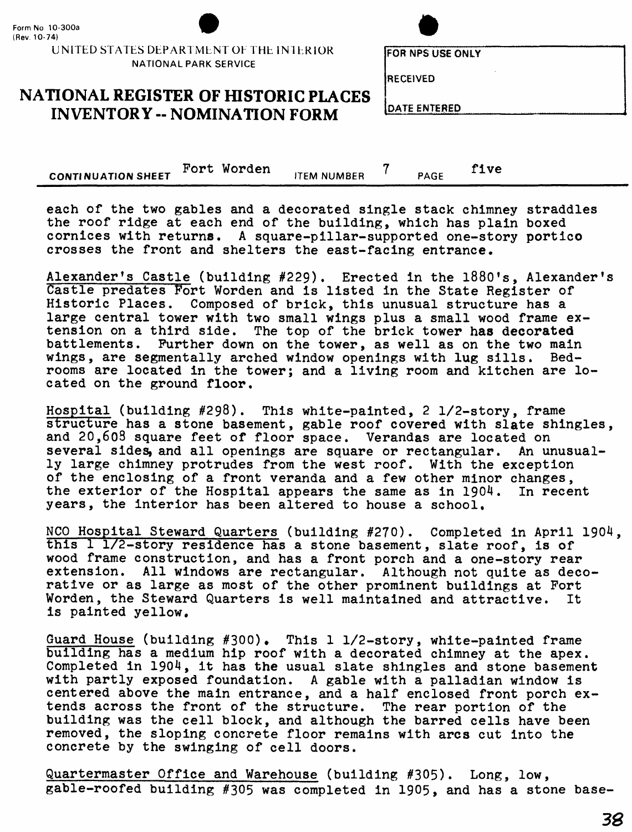UNITED STATES DEPARTMENT OF THE INTERIOR NATIONAL PARK SERVICE

**FOR NPS USE ONLY** 

RECEIVED

#### **NATIONAL REGISTER OF HISTORIC PLACES INVENTORY -- NOMINATION FORM** [DATE ENTERED

**CONTINUATION SHEET** Fort Worden **ITEM NUMBER** 7 **PAGE** five

each of the two gables and a decorated single stack chimney straddles the roof ridge at each end of the building, which has plain boxed cornices with returns. A square-pillar-supported one-story portico crosses the front and shelters the east-facing entrance.

Alexander's Castle (building #229). Erected in the 1880's, Alexander's Castle predates Fort Worden and is listed in the State Register of Historic Places. Composed of brick, this unusual structure has a large central tower with two small wings plus a small wood frame extension on a third side. The top of the brick tower has decorated battlements. Further down on the tower, as well as on the two main wings, are segmentally arched window openings with lug sills. Bedrooms are located in the tower; and a living room and kitchen are located on the ground floor,

Hospital (building #298). This white-painted, 2 1/2-story, frame structure has a stone basement, gable roof covered with slate shingles, and 20,608 square feet of floor space. Verandas are located on<br>several sides, and all openings are square or rectangular. An unusualseveral sides, and all openings are square or rectangular. ly large chimney protrudes from the west roof. With the exception of the enclosing of a front veranda and a few other minor changes,<br>the exterior of the Hospital appears the same as in  $1904$ . In recent the exterior of the Hospital appears the same as in  $1904$ . years, the interior has been altered to house a school,

NCO Hospital Steward Quarters (building #270). Completed in April 1904, this 1 1/2-story residence has a stone basement, slate roof, is of wood frame construction, and has a front porch and a one-story rear extension. All windows are rectangular. Although not quite as decorative or as large as most of the other prominent buildings at Fort Worden, the Steward Quarters is well maintained and attractive. It is painted yellow.

Guard House (building #300). This 1 1/2-story, white-painted frame building has a medium hip roof with a decorated chimney at the apex. Completed in 1904, it has the usual slate shingles and stone basement with partly exposed foundation. A gable with a palladian window is centered above the main entrance, and a half enclosed front porch extends across the front of the structure. The rear portion of the building was the cell block, and although the barred cells have been removed, the sloping concrete floor remains with arcs cut into the concrete by the swinging of cell doors.

Quartermaster Office and Warehouse (building #305). Long, low, gable-roofed building #305 was completed in 1905, and has a stone base-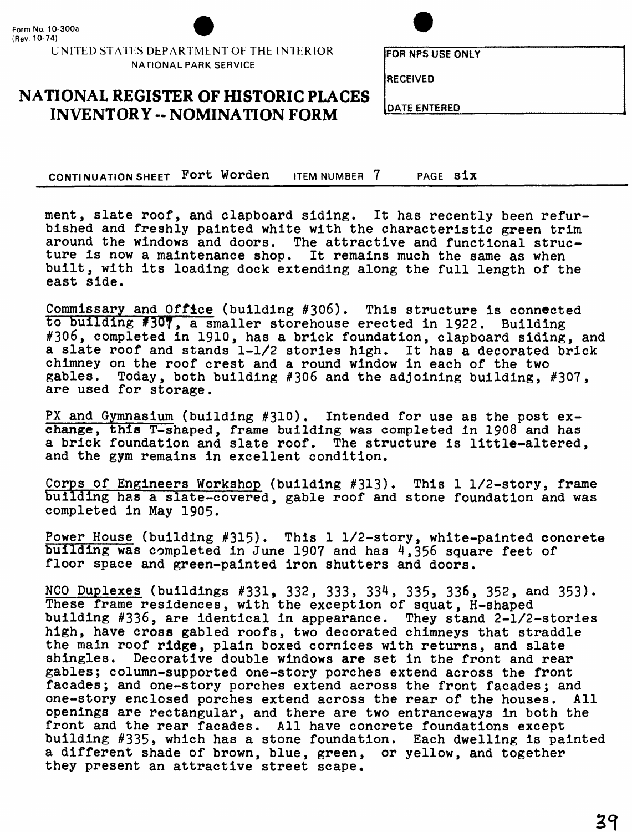

UNITED STATES DEPARTMENT OF THE INTERIOR **NATIONAL PARK SERVICE**

**FOR NPS USE ONtY**

**RECEIVED**

**NATIONAL REGISTER OF HISTORIC PLACES INVENTORY -- NOMINATION FORM DATE ENTERED** 

CONTINUATION SHEET Fort Worden ITEM NUMBER 7 PAGE S1X

ment, slate roof, and clapboard siding. It has recently been refurbished and freshly painted white with the characteristic green trim around the windows and doors. The attractive and functional structure is now a maintenance shop. It remains much the same as when built, with its loading dock extending along the full length of the east side.

Commissary and Office (building #306). This structure is connected to building f30T, a smaller storehouse erected in 1922. Building #306, completed in 1910, has a brick foundation, clapboard siding, and a slate roof and stands 1-1/2 stories high. It has a decorated brick chimney on the roof crest and a round window in each of the two gables. Today, both building  $\#306$  and the adjoining building. Today, both building #306 and the adjoining building, #307, are used for storage.

PX and Gymnasium (building #310). Intended for use as the post exchange, this T-shaped, frame building was completed in 1908 and has a brick foundation and slate roof. The structure is little-altered, and the gym remains in excellent condition.

Corps of Engineers Workshop (building #313). This 1 1/2-story, frame building has a slate-covered, gable roof and stone foundation and was completed in May 1905.

Power House (building #315). This 1 1/2-story, white-painted concrete building was completed in June 1907 and has  $4,356$  square feet of floor space and green-painted iron shutters and doors.

NCO Duplexes (buildings #331, 332, 333, 334, 335, 336, 352, and 353). These frame residences, with the exception of squat, H-shaped building #336, are identical in appearance. They stand 2-1/2-stories high, have cross gabled roofs, two decorated chimneys that straddle the main roof ridge, plain boxed cornices with returns, and slate shingles. Decorative double windows are set in the front and rear gables; column-supported one-story porches extend across the front facades; and one-story porches extend across the front facades; and one-story enclosed porches extend across the rear of the houses. All openings are rectangular, and there are two entranceways in both the front and the rear facades. All have concrete foundations except building #335, which has a stone foundation. Each dwelling is painted a different shade of brown, blue, green, or yellow, and together they present an attractive street scape.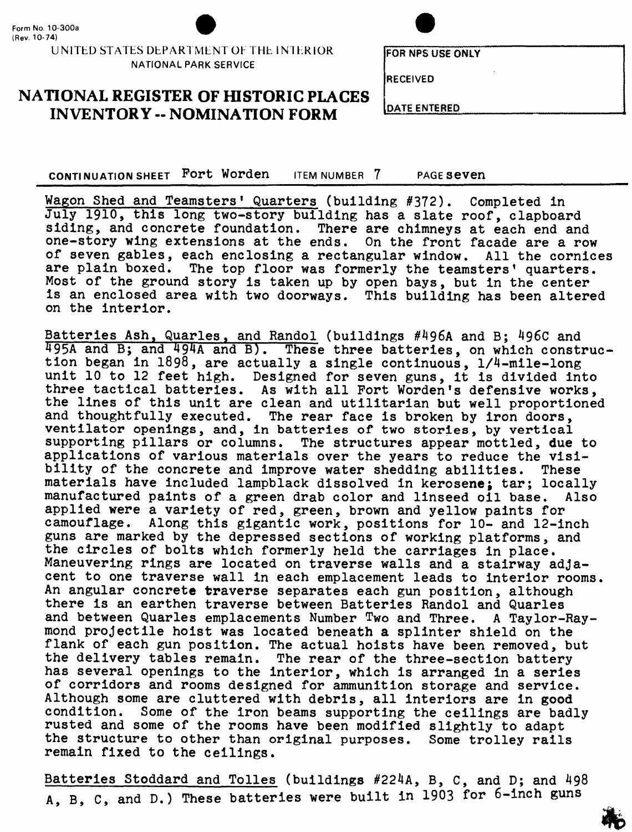#### **UNITED STATES DEPARTMENT OF THE IN IERIOR NATIONAL PARK SERVICE**

**FOR NFS US£ ONiY**

**RECEIVED**

## **NATIONAL REGISTER OF HISTORIC PLACES**  $\begin{bmatrix} \text{DATE} \\ \text{DEFed} \end{bmatrix}$

CONTINUATION SHEET Fort Worden ITEM NUMBER 7 PAGE seven

Wagon Shed and Teamsters' Quarters (building #372). Completed in July 1910, this long two-story building has a slate roof, clapboard siding, and concrete foundation. There are chimneys at each end and one-story wing extensions at the ends. On the front facade are a row of seven gables, each enclosing a rectangular window. All the cornices are plain boxed. The top floor was formerly the teamsters' quarters. Most of the ground story is taken up by open bays, but in the center is an enclosed area with two doorways. This building has been altered on the interior.

Batteries Ash, Quarles, and Randol (buildings #496A and B; 496C and 495A and B; and 494A and B). These three batteries, on which construction began in 1898, are actually a single continuous, 1/4-mile-long unit 10 to 12 feet high. Designed for seven guns, it is divided into three tactical batteries. As with all Fort Worden's defensive works, the lines of this unit are clean and utilitarian but well proportioned and thoughtfully executed. The rear face is broken by iron doors, ventilator openings, and, in batteries of two stories, by vertical supporting pillars or columns. The structures appear mottled, due to applications of various materials over the years to reduce the visibility of the concrete and improve water shedding abilities. These materials have included lampblack dissolved in kerosene; tar; locally manufactured paints of a green drab color and linseed oil base. Also applied were a variety of red, green, brown and yellow paints for camouflage. Along this gigantic work, positions for 10- and 12-inch guns are marked by the depressed sections of working platforms, and the circles of bolts which formerly held the carriages in place. Maneuvering rings are located on traverse walls and a stairway adjacent to one traverse wall in each emplacement leads to interior rooms. An angular concrete traverse separates each gun position, although there is an earthen traverse between Batteries Randol and Quarles and between Quarles emplacements Number Two and Three. A Taylor-Raymond projectile hoist was located beneath a splinter shield on the flank of each gun position. The actual hoists have been removed, but the delivery tables remain. The rear of the three-section battery has several openings to the interior, which is arranged in a series of corridors and rooms designed for ammunition storage and service. Although some are cluttered with debris, all interiors are in good condition. Some of the iron beams supporting the ceilings are bad Some of the iron beams supporting the ceilings are badly rusted and some of the rooms have been modified slightly to adapt the structure to other than original purposes. Some trolley rails remain fixed to the ceilings.

Batteries Stoddard and Tolles (buildings #224A, B, C, and D; and 498 A, B, C, and D.) These batteries were built in 1903 for 6-inch guns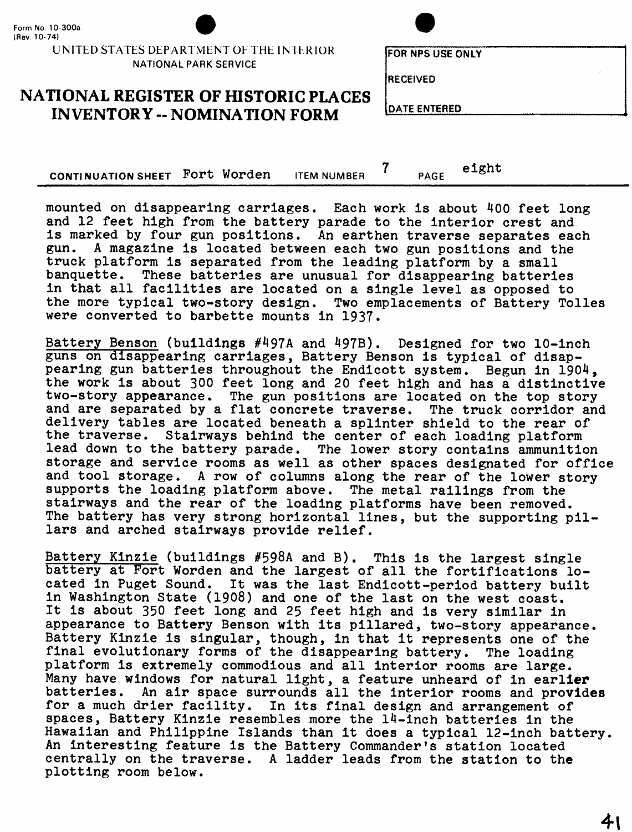#### UNITED STATES DEPARTMENT OF THE INTERIOR **NATIONAL PARK SERVICE**

**FORNPSUSEONiY**

**RECEIVED** 

### **NATIONAL REGISTER OF fflSTORIC PLACES INVENTORY -- NOMINATION FORM** DATE ENTERED

**CONTINUATION SHEET FORT WORDER ITEM NUMBER 7 PAGE eight** 

mounted on disappearing carriages. Each work is about 400 feet long and 12 feet high from the battery parade to the interior crest and is marked by four gun positions. An earthen traverse separates each gun. A magazine is located between each two gun positions and the A magazine is located between each two gun positions and the truck platform is separated from the leading platform by a small banquette. These batteries are unusual for disappearing batteries in that all facilities are located on a single level as opposed to the more typical two-story design. Two emplacements of Battery Tolles were converted to barbette mounts in 1937.

Battery Benson (buildings #497A and 497B). Designed for two 10-inch guns on disappearing carriages, Battery Benson is typical of disappearing gun batteries throughout the Endicott system. Begun in 1904, the work is about 300 feet long and 20 feet high and has a distinctive two-story appearance. The gun positions are located on the top story and are separated by a flat concrete traverse. The truck corridor and delivery tables are located beneath a splinter shield to the rear of the traverse. Stairways behind the center of each loading platform lead down to the battery parade. The lower story contains ammunition storage and service rooms as well as other spaces designated for office and tool storage. A row of columns along the rear of the lower story supports the loading platform above. The metal railings from the stairways and the rear of the loading platforms have been removed. The battery has very strong horizontal lines, but the supporting pillars and arched stairways provide relief.

Battery Klnzie (buildings #598A and B). This is the largest single battery at Fort Worden and the largest of all the fortifications located in Puget Sound. It was the last Endlcott-period battery built In Washington State (1908) and one of the last on the west coast. It is about 350 feet long and 25 feet high and is very similar in appearance to Battery Benson with its pillared, two-story appearance. Battery Kinzie is singular, though, in that it represents one of the final evolutionary forms of the disappearing battery. The loading platform is extremely commodious and all Interior rooms are large. Many have windows for natural light, a feature unheard of in earlier<br>batteries. An air space surrounds all the interior rooms and provide An air space surrounds all the interior rooms and provides for a much drier facility. In Its final design and arrangement of spaces, Battery Kinzie resembles more the 14-Inch batteries In the Hawaiian and Philippine Islands than it does a typical 12-inch battery. An interesting feature is the Battery Commander's station located centrally on the traverse. A ladder leads from the station to the plotting room below.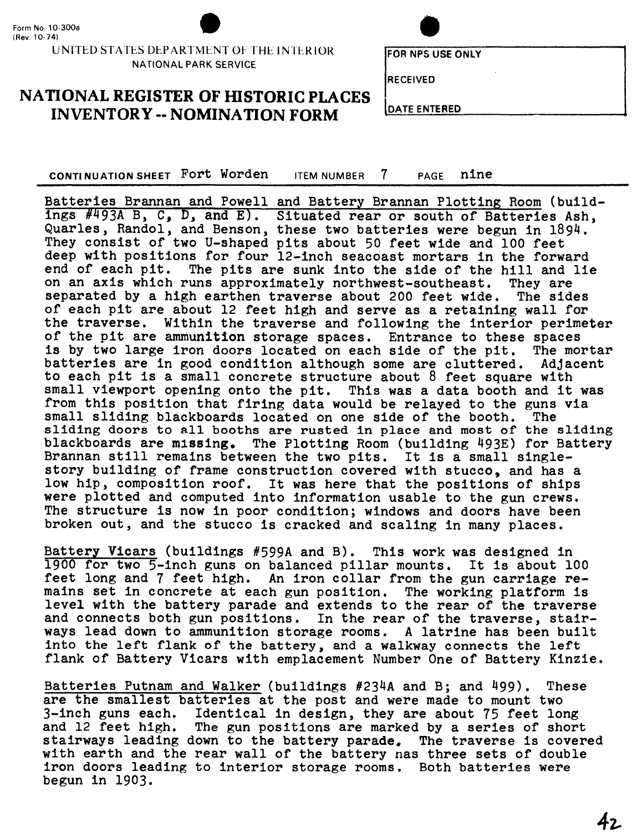#### UNITED STATES DEPARTMENT OF THE INTERIOR NATIONAL PARK SERVICE

**FOR NPS USE ONLY** 

**RECEIVED** 

#### **NATIONAL REGISTER OF HISTORIC PLACES INVENTORY - NOMINATION FORM**

**DATE ENTERED** 

**CONTINUATION SHEET Fort Worden** ITEM NUMBER 7 PAGE **nine \_\_**

Batteries Brannan and Powell and Battery Brannan Plotting Room (buildings #493A B, C, D, and E).Situated rear or south of Batteries Ash, Quarles, Randol, and Benson, these two batteries were begun in 1894. They consist of two U-shaped pits about 50 feet wide and 100 feet deep with positions for four 12-inch seacoast mortars in the forward end of each pit. The pits are sunk into the side of the hill and lie on an axis which runs approximately northwest-southeast. They are separated by a high earthen traverse about 200 feet wide. The sides of each pit are about 12 feet high and serve as a retaining wall for the traverse. Within the traverse and following the interior perimeter of the pit are ammunition storage spaces. Entrance to these spaces is by two large iron doors located on each side of the pit. The mortar batteries are in good condition although some are cluttered. Adjacent to each pit is a small concrete structure about 8 feet square with small viewport opening onto the pit. This was a data booth and it was from this position that firing data would be relayed to the guns via<br>small sliding blackboards located on one side of the booth. The small sliding blackboards located on one side of the booth. sliding doors to all booths are rusted in place and most of the sliding blackboards are missing. The Plotting Room (building 493E) for Battery Brannan still remains between the two pits. It is a small singlestory building of frame construction covered with stucco, and has a low hip, composition roof. It was here that the positions of ships were plotted and computed into information usable to the gun crews. The structure is now in poor condition; windows and doors have been broken out, and the stucco is cracked and scaling in many places.

Battery Vicars (buildings #599A and B). This work was designed in 1900 for two 5-inch guns on balanced pillar mounts. It is about 100 feet long and 7 feet high. An iron collar from the gun carriage remains set in concrete at each gun position. The working platform is level with the battery parade and extends to the rear of the traverse and connects both gun positions. In the rear of the traverse, stairways lead down to ammunition storage rooms. A latrine has been built into the left flank of the battery, and a walkway connects the left flank of Battery Vicars with emplacement Number One of Battery Kinzie.

Batteries Putnam and Walker (buildings #234A and B; and 499). These are the smallest batteries at the post and were made to mount two 3-inch guns each. Identical in design, they are about 75 feet long and 12 feet high. The gun positions are marked by a series of short stairways leading down to the battery parade. The traverse is covered with earth and the rear wall of the battery nas three sets of double iron doors leading to interior storage rooms. Both batteries were begun in 1903.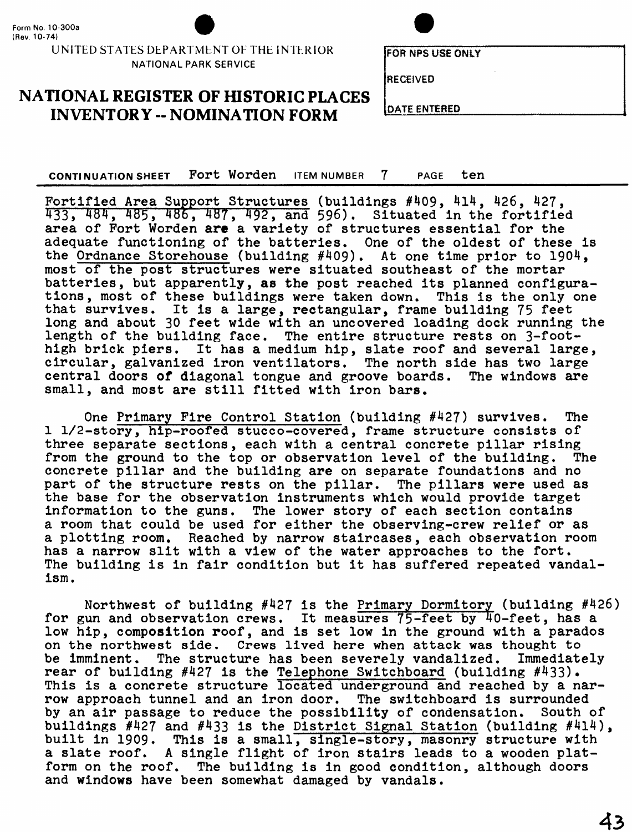#### UNITED STATES DEPARTMENT OF THE INTERIOR NATIONAL PARK SERVICE

**FOR NPS USE ONLY** 

RECEIVED

#### **NATIONAL REGISTER OF HISTORIC PLACES INVENTORY -- NOMINATION FORM** DATE ENTERED

**CONTINUATION SHEET Fort Worden** ITEM NUMBER 7 PAGE ten\_\_\_\_\_\_\_\_\_\_\_\_\_\_

Fortified Area Support Structures (buildings #409, 4l4, 426, 427, 433, 484, 485, 486, 487, 492, and 596), Situated in the fortified area of Fort Worden are a variety of structures essential for the adequate functioning of the batteries. One of the oldest of these is the Ordnance Storehouse (building #409). At one time prior to 1904, most of the post structures were situated southeast of the mortar batteries, but apparently, **as** the post reached its planned configurations, most of these buildings were taken down. This is the only one that survives. It is a large, rectangular, frame building 75 feet long and about 30 feet wide with an uncovered loading dock running the length of the building face. The entire structure rests on 3-foothigh brick piers. It has a medium hip, slate roof and several large, circular, galvanized iron ventilators. The north side has two large central doors of diagonal tongue and groove boards. The windows are small, and most are still fitted with iron bars.

One Primary Fire Control Station (building #427) survives. The 1 1/2-story, hip-roofed stucco-covered, frame structure consists of three separate sections, each with a central concrete pillar rising from the ground to the top or observation level of the building. The concrete pillar and the building are on separate foundations and no part of the structure rests on the pillar. The pillars were used as the base for the observation instruments which would provide target information to the guns. The lower story of each section contains a room that could be used for either the observing-crew relief or as a plotting room. Reached by narrow staircases, each observation room has a narrow slit with a view of the water approaches to the fort. The building is in fair condition but it has suffered repeated vandalism.

Northwest of building #427 is the Primary Dormitory (building #426) for gun and observation crews. It measures 75-feet by 40-feet, has a low hip, composition roof, and is set low in the ground with a parados on the northwest side. Crews lived here when attack was thought to be imminent. The structure has been severely vandalized. Immediately rear of building #427 is the Telephone Switchboard (building #433). This is a concrete structure located underground and reached by a narrow approach tunnel and an iron door. The switchboard is surrounded by an air passage to reduce the possibility of condensation. South of buildings #427 and #433 is the District Signal Station (building #4l4), built in 1909. This is a small, single-story, masonry structure with a slate roof. A single flight of iron stairs leads to a wooden platform on the roof. The building is in good condition, although doors and windows have been somewhat damaged by vandals.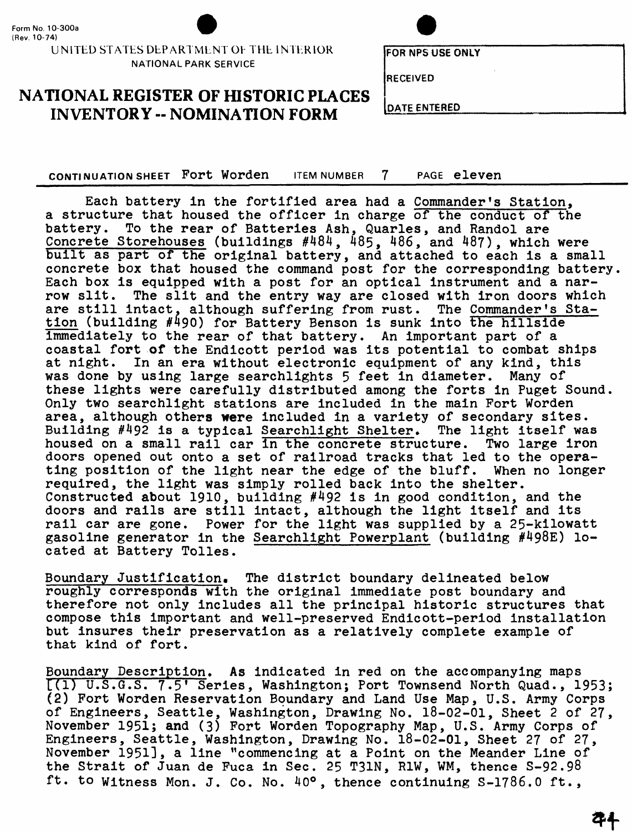#### **UNITED STATES DbPARTMLNT Oh THh INThRlOR NATIONAL PARK SERVICE**

**RECEIVED**

**NATIONAL REGISTER OF HISTORIC PLACES INVENTORY -- NOMINATION FORM DATE ENTERED** 

**CONTINUATION SHEET Fort Worden** ITEM NUMBER 7 PAGE **eleven**

Each battery In the fortified area had a Commander's Station, a structure that housed the officer in charge of the conduct of the battery. To the rear of Batteries Ash, Quarles, and Randol are Concrete Storehouses (buildings #484, 485, 486, and 487), which were built as part of the original battery, and attached to each is a small concrete box that housed the command post for the corresponding battery Each box is equipped with a post for an optical instrument and a narrow slit. The slit and the entry way are closed with iron doors which are still intact, although suffering from rust. The Commander's Station (building #490) for Battery Benson is sunk into the hillside Immediately to the rear of that battery. An important part of a coastal fort of the Endicott period was its potential to combat ships at night. In an era without electronic equipment of any kind, this was done by using large searchlights 5 feet in diameter. Many of these lights were carefully distributed among the forts in Puget Sound. Only two searchlight stations are included in the main Port Worden area, although others were included in a variety of secondary sites. Building  $#492$  is a typical Searchlight Shelter. The light itself was housed on a small rail car In the concrete structure. Two large iron doors opened out onto a set of railroad tracks that led to the operating position of the light near the edge of the bluff. When no longer required, the light was simply rolled back into the shelter. Constructed about 1910, building #492 is in good condition, and the doors and rails are still Intact, although the light itself and its rail car are gone. Power for the light was supplied by a 25-kilowatt gasoline generator in the Searchlight Powerplant (building #498E) located at Battery Tolles.

Boundary Justification. The district boundary delineated below roughly corresponds with the original Immediate post boundary and therefore not only Includes all the principal historic structures that compose this Important and well-preserved Endlcott-period installation but insures their preservation as a relatively complete example of that kind of fort.

Boundary Description. As indicated in red on the accompanying maps [(1) U.S.G.S. 7.5\* Series, Washington; Port Townsend North Quad., 1953; (2) Fort Worden Reservation Boundary and Land Use Map, U.S. Army Corps of Engineers, Seattle, Washington, Drawing No. 18-02-01, Sheet 2 of 27, November 1951; and (3) Port Worden Topography Map, U.S. Army Corps of Engineers, Seattle, Washington, Drawing No. 18-02-01, Sheet 27 of 27, November 1951], a line "commencing at a Point on the Meander Line of the Strait of Juan de Puca in Sec. 25 T31N, R1W, WM, thence S-92.98 ft. to witness Mon. J. Co. No. 40°, thence continuing S-1786.0 ft.,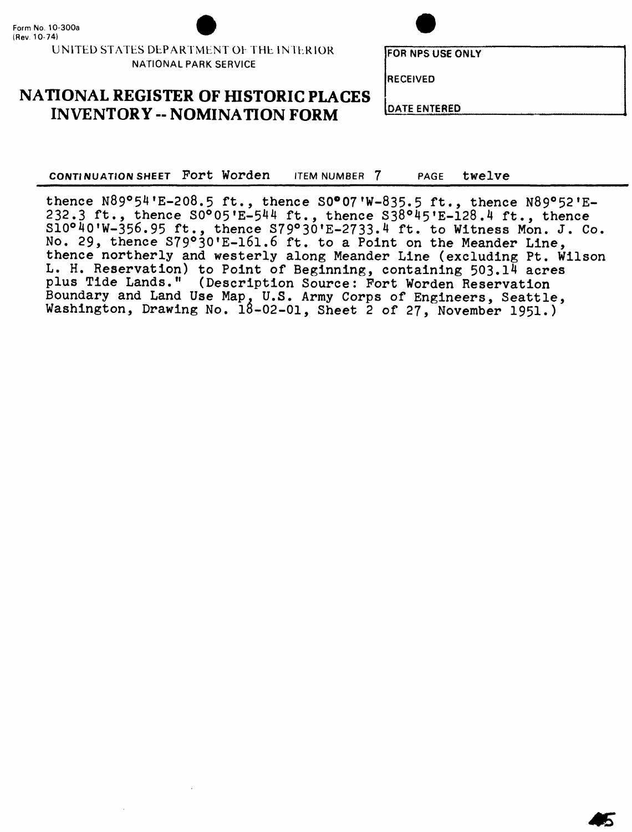#### UNITED STATES DEPARTMENT Oh THE INTERIOR NATIONAL PARK SERVICE

#### **NATIONAL REGISTER OF HISTORIC PLACES INVENTORY -- NOMINATION FORM** LEATERED

CONTINUATION SHEET Fort Worden ITEM NUMBER 7 PAGE twelve

thence  $N89^o54'E-208.5$  ft., thence S0°07'W-835.5 ft., thence  $N89^o52'E-$ 232.3 ft., thence  $S0^605'E-544$  ft., thence  $S38°45'E-128.4$  ft., thence  $S10^{\circ}40'W-356.95$  ft., thence  $S79^{\circ}30'E-2733.4$  ft. to Witness Mon. J. Co. No. 29, thence S79°30'E-161.6 ft. to a Point on the Meander Line, thence northerly and westerly along Meander Line (excluding Pt. Wilson L. H. Reservation) to Point of Beginning, containing 503.14 acres plus Tide Lands." (Description Source: Fort Worden Reservation Boundary and Land Use Map. U.S. Army Corps of Engineers, Seattle, Washington, Drawing No. 18-02-01, Sheet 2 of 27, November 1951.)

RECEIVED

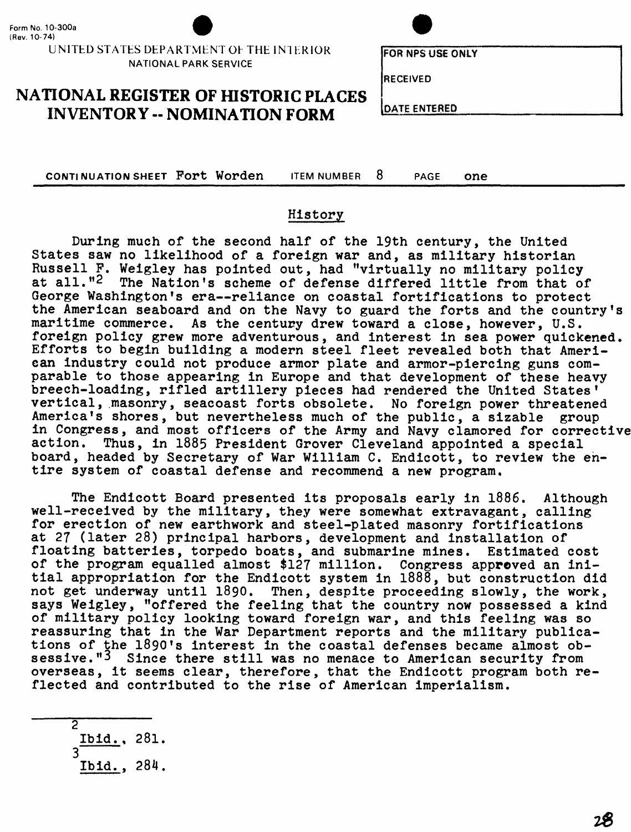



FOR NPS USE ONLY

RECEIVED

**NATIONAL REGISTER OF HISTORIC PLACES INVENTORY -- NOMINATION FORM** LEATE ENTERED

**CONTINUATION SHEET Fort Worden** ITEM NUMBER 8 PAGE One\_\_\_\_\_\_\_\_\_\_\_\_\_\_\_\_\_\_\_\_

#### History

During much of the second half of the 19th century, the United States saw no likelihood of a foreign war and, as military historian Russell P. Weigley has pointed out, had "virtually no military policy at all."<sup>2</sup> The Nation's scheme of defense differed little from that of George Washington's era—reliance on coastal fortifications to protect the American seaboard and on the Navy to guard the forts and the country's maritime commerce. As the century drew toward a close, however, U.S. foreign policy grew more adventurous, and interest in sea power quickened. Efforts to begin building a modern steel fleet revealed both that American industry could not produce armor plate and armor-piercing guns comparable to those appearing in Europe and that development of these heavy breech-loading, rifled artillery pieces had rendered the United States' vertical, masonry, seacoast forts obsolete. No foreign power threatened America's shores, but nevertheless much of the public, a sizable group in Congress, and most officers of the Army and Navy clamored for corrective action. Thus, in 1885 President Grover Cleveland appointed a special board, headed by Secretary of War William C. Endicott, to review the entire system of coastal defense and recommend a new program.

The Endicott Board presented its proposals early in 1886. Although well-received by the military, they were somewhat extravagant, calling for erection of new earthwork and steel-plated masonry fortifications at 27 (later 28) principal harbors, development and installation of floating batteries, torpedo boats, and submarine mines. Estimated cost of the program equalled almost \$127 million. Congress approved an initial appropriation for the Endicott system in 1888, but construction did not get underway until 1890. Then, despite proceeding slowly, the work, says Weigley, "offered the feeling that the country now possessed a kind of military policy looking toward foreign war, and this feeling was so reassuring that in the War Department reports and the military publications of the 1890's interest in the coastal defenses became almost obsessive."<sup>3</sup> Since there still was no menace to American security from overseas, it seems clear, therefore, that the Endicott program both reflected and contributed to the rise of American imperialism.

2 Ibid., 281.

3

Ibid., 284.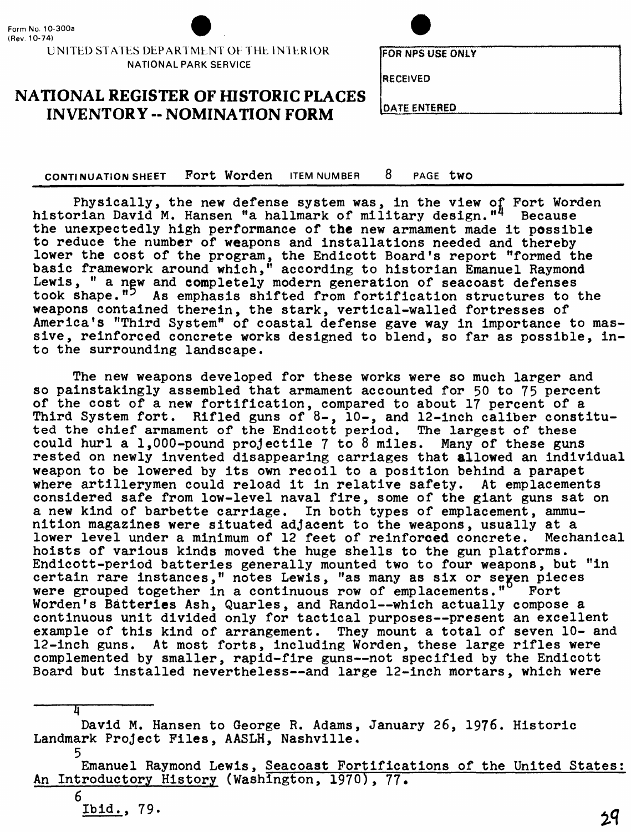

UNITED STATES DEPARTMENT OF THE INTERIOR **NATIONAL PARK SERVICE**



FOR NFS USE ONLY

**RECEIVED**

**NATIONAL REGISTER OF HISTORIC PLACES INVENTORY -- NOMINATION FORM DATE ENTERED** 

**CONTINUATION SHEET Fort Worden** ITEM NUMBER 8 PAGE two

Physically, the new defense system was, in the view of Fort Worden historian David M. Hansen "a hallmark of military design."<sup>4</sup> Because the unexpectedly high performance of the new armament made it possible to reduce the number of weapons and installations needed and thereby lower the cost of the program, the Endicott Board's report "formed the basic framework around which," according to historian Emanuel Raymond Lewis, " a new and completely modern generation of seacoast defenses took shape."<sup>5</sup> As emphasis shifted from fortification structures to the weapons contained therein, the stark, vertical-walled fortresses of America's "Third System" of coastal defense gave way in importance to massive, reinforced concrete works designed to blend, so far as possible, into the surrounding landscape.

The new weapons developed for these works were so much larger and so painstakingly assembled that armament accounted for 50 to 75 percent of the cost of a new fortification, compared to about 17 percent of a Third System fort. Rifled guns of 8-, 10-, and 12-inch caliber constituted the chief armament of the Endicott period. The largest of these could hurl a 1,000-pound projectile 7 to 8 miles. Many of these guns rested on newly invented disappearing carriages that allowed an individual weapon to be lowered by its own recoil to a position behind a parapet where artillerymen could reload it in relative safety. At emplacements considered safe from low-level naval fire, some of the giant guns sat on a new kind of barbette carriage. In both types of emplacement, ammunition magazines were situated adjacent to the weapons, usually at a lower level under a minimum of 12 feet of reinforced concrete. Mechanical hoists of various kinds moved the huge shells to the gun platforms. Endicott-period batteries generally mounted two to four weapons, but "in certain rare instances," notes Lewis, "as many as six or seven pieces<br>were grouped together in a continuous row of emplacements." Fort were grouped together in a continuous row of emplacements." Worden's Batteries Ash, Quarles, and Randol--which actually compose a continuous unit divided only for tactical purposes—present an excellent example of this kind of arrangement. They mount a total of seven 10- and 12-inch guns. At most forts, including Worden, these large rifles were complemented by smaller, rapid-fire guns—not specified by the Endicott Board but installed nevertheless—and large 12-inch mortars, which were

David M. Hansen to George R. Adams, January 26, 1976. Historic Landmark Project Files, AASLH, Nashville.

5 Emanuel Raymond Lewis, Seacoast Fortifications of the United States: An Introductory History (Washington, 1970), 77.

6 Ibid.. 79.

π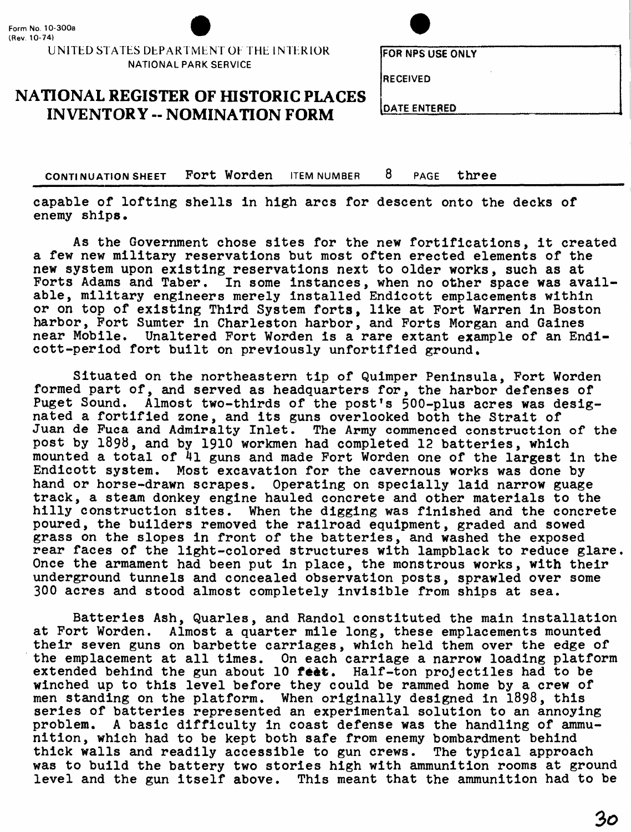#### UNITED STATES DEPARTMENT OF THE INTERIOR **NATIONAL PARK SERVICE**

## **NATIONAL REGISTER OF HISTORIC PLACES INVENTORY -- NOMINATION FORM** [DATE ENTERED

**CONTINUATION SHEET FORT Worden** ITEM NUMBER 8 PAGE three

capable of lofting shells In high arcs for descent onto the decks of enemy ships.

As the Government chose sites for the new fortifications, it created a few new military reservations but most often erected elements of the new system upon existing reservations next to older works, such as at Forts Adams and Taber. In some instances, when no other space was available, military engineers merely installed Endicott emplacements within or on top of existing Third System forts, like at Fort Warren in Boston harbor, Fort Sumter in Charleston harbor, and Forts Morgan and Gaines near Mobile. Unaltered Fort Worden is a rare extant example of an Endicott-period fort built on previously unfortified ground.

Situated on the northeastern tip of Quimper Peninsula, Fort Worden formed part of, and served as headquarters for, the harbor defenses of Puget Sound. Almost two-thirds of the post's 500-plus acres was designated a fortified zone, and its guns overlooked both the Strait of Juan de Fuca and Admiralty Inlet. The Army commenced construction of the post by 1898, and by 1910 workmen had completed 12 batteries, which mounted a total of 4l guns and made Fort Worden one of the largest in the Endicott system. Most excavation for the cavernous works was done by hand or horse-drawn scrapes. Operating on specially laid narrow guage track, a steam donkey engine hauled concrete and other materials to the hilly construction sites. When the digging was finished and the concrete poured, the builders removed the railroad equipment, graded and sowed grass on the slopes in front of the batteries, and washed the exposed rear faces of the light-colored structures with lampblack to reduce glare. Once the armament had been put in place, the monstrous works, with their underground tunnels and concealed observation posts, sprawled over some 300 acres and stood almost completely invisible from ships at sea.

Batteries Ash, Quarles, and Randol constituted the main installation at Fort Worden. Almost a quarter mile long, these emplacements mounted their seven guns on barbette carriages, which held them over the edge of the emplacement at all times. On each carriage a narrow loading platform extended behind the gun about  $10$  feet. Half-ton projectiles had to be winched up to this level before they could be rammed home by a crew of men standing on the platform. When originally designed in 1898, this series of batteries represented an experimental solution to an annoying problem. A basic difficulty in coast defense was the handling of ammunition, which had to be kept both safe from enemy bombardment behind thick walls and readily accessible to gun crews. The typical approach was to build the battery two stories high with ammunition rooms at ground level and the gun itself above. This meant that the ammunition had to be

**FOR NPS USE ONLY**

**RECEIVED**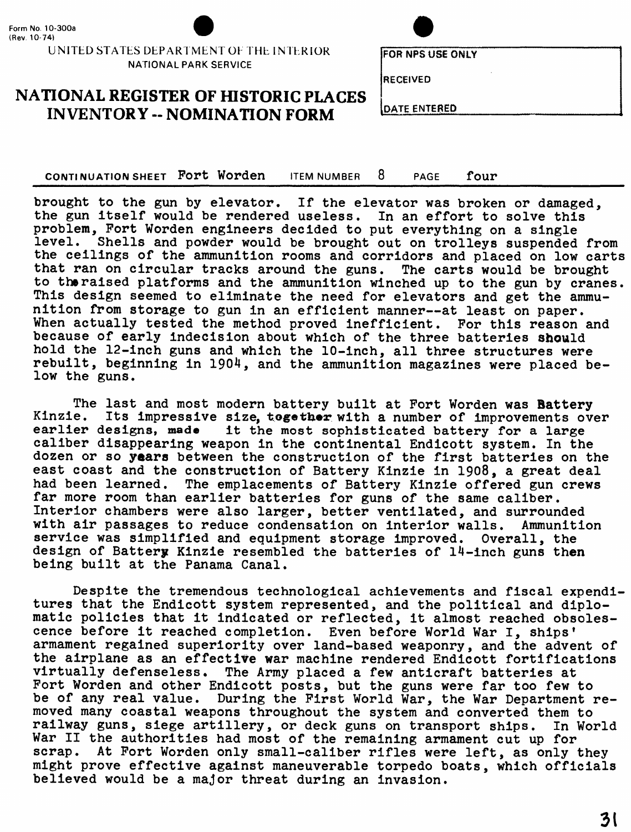

#### UNITED STATES DEPARTMENT OF THE INTERIOR NATIONAL PARK SERVICE

# FOR NFS USE ONLY

RECEIVED

**IDATE ENTERED** 

**NATIONAL REGISTER OF HISTORIC PLACES INVENTORY -- NOMINATION FORM**

**CONTINUATION SHEET Port Worden** ITEM NUMBER 8 PAGE \_\_\_\_\_\_\_\_\_\_\_\_\_\_\_\_\_\_

brought to the gun by elevator. If the elevator was broken or damaged, the gun Itself would be rendered useless. In an effort to solve this problem, Port Worden engineers decided to put everything on a single level. Shells and powder would be brought out on trolleys suspended from the ceilings of the ammunition rooms and corridors and placed on low carts that ran on circular tracks around the guns. The carts would be brought to the raised platforms and the ammunition winched up to the gun by cranes. This design seemed to eliminate the need for elevators and get the ammunition from storage to gun in an efficient manner—at least on paper. When actually tested the method proved inefficient. For this reason and because of early indecision about which of the three batteries should hold the 12-inch guns and which the 10-inch, all three structures were rebuilt, beginning in 1904, and the ammunition magazines were placed below the guns.

The last and most modern battery built at Fort Worden was Battery Kinzie. Its impressive size, together with a number of improvements over earlier designs, made it the most sophisticated battery for a large caliber disappearing weapon in the continental Endicott system. In the dozen or so years between the construction of the first batteries on the east coast and the construction of Battery Kinzie in 1908, a great deal had been learned. The emplacements of Battery Kinzie offered gun crews far more room than earlier batteries for guns of the same caliber. Interior chambers were also larger, better ventilated, and surrounded with air passages to reduce condensation on interior walls. Ammunition service was simplified and equipment storage improved. Overall, the design of Battery Kinzie resembled the batteries of 14-inch guns then being built at the Panama Canal.

Despite the tremendous technological achievements and fiscal expenditures that the Endicott system represented, and the political and diplomatic policies that it indicated or reflected, it almost reached obsolescence before it reached completion. Even before World War I, ships' armament regained superiority over land-based weaponry, and the advent of the airplane as an effective war machine rendered Endicott fortifications virtually defenseless. The Army placed a few anticraft batteries at Fort Worden and other Endicott posts, but the guns were far too few to be of any real value. During the First World War, the War Department removed many coastal weapons throughout the system and converted them to railway guns, siege artillery, or deck guns on transport ships. In World War II the authorities had most of the remaining armament cut up for scrap. At Fort Worden only small-caliber rifles were left, as only they might prove effective against maneuverable torpedo boats, which officials believed would be a major threat during an invasion.